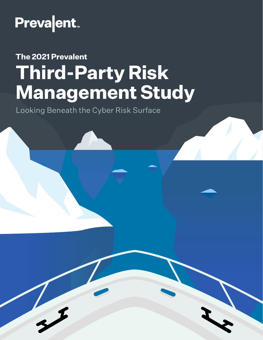

# **The 2021 Prevalent Third-Party Risk Management Study**

Looking Beneath the Cyber Risk Surface

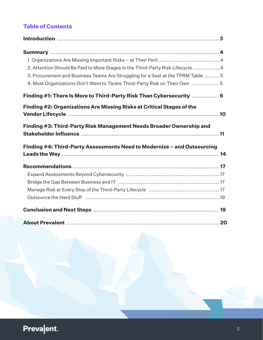#### **Table of Contents**

| 2. Attention Should Be Paid to More Stages in the Third-Party Risk Lifecycle 4        |  |
|---------------------------------------------------------------------------------------|--|
| 3. Procurement and Business Teams Are Struggling for a Seat at the TPRM Table 5       |  |
| 4. Most Organizations Don't Want to Tackle Third-Party Risk on Their Own  5           |  |
| Finding #1: There Is More to Third-Party Risk Than Cybersecurity  6                   |  |
| Finding #2: Organizations Are Missing Risks at Critical Stages of the                 |  |
|                                                                                       |  |
| Finding #3: Third-Party Risk Management Needs Broader Ownership and                   |  |
| Finding #4: Third-Party Assessments Need to Modernize - and Outsourcing               |  |
|                                                                                       |  |
|                                                                                       |  |
|                                                                                       |  |
|                                                                                       |  |
|                                                                                       |  |
| Outsource the Hard Stuff (Martin Martin Martin Martin Martin Martin Martin Martin 19) |  |
|                                                                                       |  |
|                                                                                       |  |

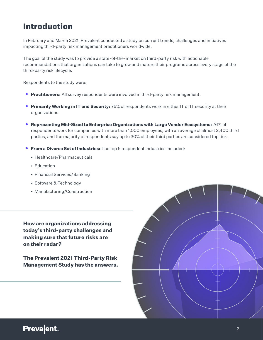### <span id="page-2-0"></span>Introduction

In February and March 2021, Prevalent conducted a study on current trends, challenges and initiatives impacting third-party risk management practitioners worldwide.

The goal of the study was to provide a state-of-the-market on third-party risk with actionable recommendations that organizations can take to grow and mature their programs across every stage of the third-party risk lifecycle.

Respondents to the study were:

- **• Practitioners:** All survey respondents were involved in third-party risk management.
- **• Primarily Working in IT and Security:** 76% of respondents work in either IT or IT security at their organizations.
- **• Representing Mid-Sized to Enterprise Organizations with Large Vendor Ecosystems:** 76% of respondents work for companies with more than 1,000 employees, with an average of almost 2,400 third parties, and the majority of respondents say up to 30% of their third parties are considered top tier.
- **• From a Diverse Set of Industries:** The top 5 respondent industries included:
	- Healthcare/Pharmaceuticals
	- Education
	- Financial Services/Banking
	- Software & Technology
	- Manufacturing/Construction

**How are organizations addressing today's third-party challenges and making sure that future risks are on their radar?** 

**The Prevalent 2021 Third-Party Risk Management Study has the answers.**

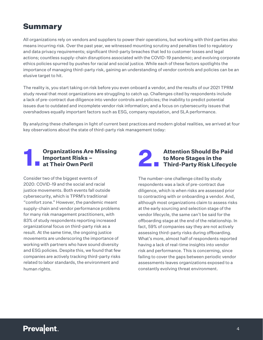### <span id="page-3-0"></span>**Summary**

All organizations rely on vendors and suppliers to power their operations, but working with third parties also means incurring risk. Over the past year, we witnessed mounting scrutiny and penalties tied to regulatory and data privacy requirements; significant third-party breaches that led to customer losses and legal actions; countless supply-chain disruptions associated with the COVID-19 pandemic; and evolving corporate ethics policies spurred by pushes for racial and social justice. While each of these factors spotlights the importance of managing third-party risk, gaining an understanding of vendor controls and policies can be an elusive target to hit.

The reality is, you start taking on risk before you even onboard a vendor, and the results of our 2021 TPRM study reveal that most organizations are struggling to catch up. Challenges cited by respondents include a lack of pre-contract due diligence into vendor controls and policies; the inability to predict potential issues due to outdated and incomplete vendor risk information; and a focus on cybersecurity issues that overshadows equally important factors such as ESG, company reputation, and SLA performance.

By analyzing these challenges in light of current best practices and modern global realities, we arrived at four key observations about the state of third-party risk management today:

#### <span id="page-3-1"></span>**1. Organizations Are Missing Important Risks – at Their Own Peril**

Consider two of the biggest events of 2020: COVID-19 and the social and racial justice movements. Both events fall outside cybersecurity, which is TPRM's traditional "comfort zone." However, the pandemic meant supply-chain and vendor performance problems for many risk management practitioners, with 83% of study respondents reporting increased organizational focus on third-party risk as a result. At the same time, the ongoing justice movements are underscoring the importance of working with partners who have sound diversity and ESG policies. Despite this, we found that few companies are actively tracking third-party risks related to labor standards, the environment and human rights.

## <span id="page-3-2"></span>**2.** Attention Should Be Paid<br> **1. Third-Party Risk Lifecycle to More Stages in the**

The number-one challenge cited by study respondents was a lack of pre-contract due diligence, which is when risks are assessed prior to contracting with or onboarding a vendor. And, although most organizations claim to assess risks at the early sourcing and selection stage of the vendor lifecycle, the same can't be said for the offboarding stage at the end of the relationship. In fact, 59% of companies say they are not actively assessing third-party risks during offboarding. What's more, almost half of respondents reported having a lack of real-time insights into vendor risk and performance. This is concerning, since failing to cover the gaps between periodic vendor assessments leaves organizations exposed to a constantly evolving threat environment.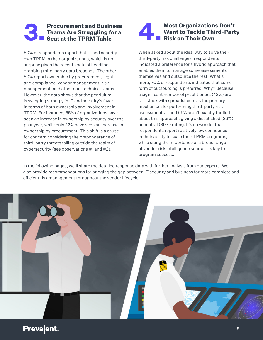#### <span id="page-4-0"></span>**3. Procurement and Business<br>Teams Are Struggling for a<br>Seat at the TPRM Table Teams Are Struggling for a Seat at the TPRM Table**

50% of respondents report that IT and security own TPRM in their organizations, which is no surprise given the recent spate of headlinegrabbing third-party data breaches. The other 50% report ownership by procurement, legal and compliance, vendor management, risk management, and other non-technical teams. However, the data shows that the pendulum is swinging strongly in IT and security's favor in terms of both ownership and involvement in TPRM. For instance, 55% of organizations have seen an increase in ownership by security over the past year, while only 22% have seen an increase in ownership by procurement. This shift is a cause for concern considering the preponderance of third-party threats falling outside the realm of cybersecurity (see observations #1 and #2).

#### Most Organizations Don't<br>Want to Tackle Third-Part<br>Risk on Their Own **ALL Want to Tackle Third-Party Risk on Their Own**

When asked about the ideal way to solve their third-party risk challenges, respondents indicated a preference for a hybrid approach that enables them to manage some assessments themselves and outsource the rest. What's more, 70% of respondents indicated that some form of outsourcing is preferred. Why? Because a significant number of practitioners (42%) are still stuck with spreadsheets as the primary mechanism for performing third-party risk assessments – and 65% aren't exactly thrilled about this approach, giving a dissatisfied (26%) or neutral (39%) rating. It's no wonder that respondents report relatively low confidence in their ability to scale their TPRM programs, while citing the importance of a broad range of vendor risk intelligence sources as key to program success.

In the following pages, we'll share the detailed response data with further analysis from our experts. We'll also provide recommendations for bridging the gap between IT security and business for more complete and efficient risk management throughout the vendor lifecycle.

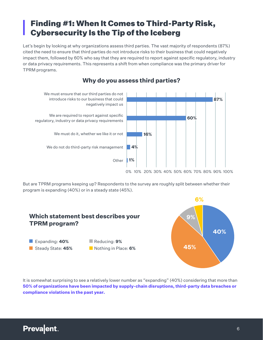### <span id="page-5-0"></span>Finding #1: When It Comes to Third-Party Risk, Cybersecurity Is the Tip of the Iceberg

Let's begin by looking at why organizations assess third parties. The vast majority of respondents (87%) cited the need to ensure that third parties do not introduce risks to their business that could negatively impact them, followed by 60% who say that they are required to report against specific regulatory, industry or data privacy requirements. This represents a shift from when compliance was the primary driver for TPRM programs.



#### **Why do you assess third parties?**

But are TPRM programs keeping up? Respondents to the survey are roughly split between whether their program is expanding (40%) or in a steady state (45%).



It is somewhat surprising to see a relatively lower number as "expanding" (40%) considering that more than **50% of organizations have been impacted by supply-chain disruptions, third-party data breaches or compliance violations in the past year.**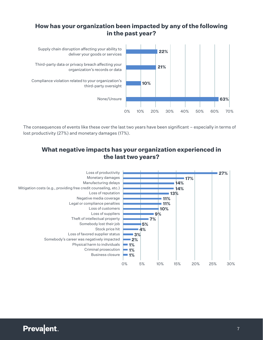#### **How has your organization been impacted by any of the following in the past year?**



The consequences of events like these over the last two years have been significant – especially in terms of lost productivity (27%) and monetary damages (17%).

#### **What negative impacts has your organization experienced in the last two years?**

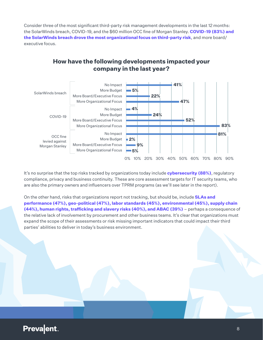Consider three of the most significant third-party risk management developments in the last 12 months: the SolarWinds breach, COVID-19, and the \$60 million OCC fine of Morgan Stanley. **COVID-19 (83%) and the SolarWinds breach drove the most organizational focus on third-party risk**, and more board/ executive focus.

#### **How have the following developments impacted your company in the last year?**



It's no surprise that the top risks tracked by organizations today include **cybersecurity (88%)**, regulatory compliance, privacy and business continuity. These are core assessment targets for IT security teams, who are also the primary owners and influencers over TPRM programs (as we'll see later in the report).

On the other hand, risks that organizations report not tracking, but should be, include **SLAs and performance (47%), geo-political (47%), labor standards (45%), environmental (45%), supply chain (44%), human rights, trafficking and slavery risks (40%), and ABAC (39%)** – perhaps a consequence of the relative lack of involvement by procurement and other business teams. It's clear that organizations must expand the scope of their assessments or risk missing important indicators that could impact their third parties' abilities to deliver in today's business environment.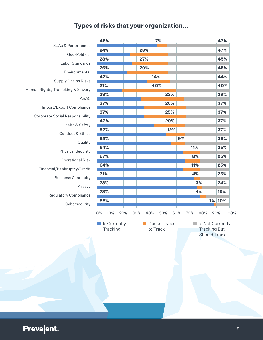### **Types of risks that your organization...**

|                                        | 45%              |            | 7%       |              |     |     |                     | 47%              |
|----------------------------------------|------------------|------------|----------|--------------|-----|-----|---------------------|------------------|
| <b>SLAs &amp; Performance</b>          | 24%              | 28%        |          |              |     |     |                     | 47%              |
| Geo-Political                          | 28%              | 27%        |          |              |     |     |                     | 45%              |
| Labor Standards                        | 26%              | 29%        |          |              |     |     |                     | 45%              |
| Environmental                          | 42%              |            | 14%      |              |     |     |                     | 44%              |
| <b>Supply Chains Risks</b>             | 21%              |            | 40%      |              |     |     |                     | 40%              |
| Human Rights, Trafficking & Slavery    | 39%              |            |          | 22%          |     |     |                     | 39%              |
| <b>ABAC</b>                            |                  |            |          |              |     |     |                     |                  |
| Import/Export Compliance               | 37%              |            |          | 26%          |     |     |                     | 37%              |
| <b>Corporate Social Responsibility</b> | 37%              |            |          | 25%          |     |     |                     | 37%              |
| Health & Safety                        | 43%              |            |          | 20%          |     |     |                     | 37%              |
| Conduct & Ethics                       | 52%              |            |          | 12%          |     |     |                     | 37%              |
| Quality                                | 55%              |            |          |              | 9%  |     |                     | 36%              |
| <b>Physical Security</b>               | 64%              |            |          |              |     | 11% |                     | 25%              |
| <b>Operational Risk</b>                | 67%              |            |          |              |     | 8%  |                     | 25%              |
| Financial/Bankruptcy/Credit            | 64%              |            |          |              |     | 11% |                     | 25%              |
| <b>Business Continuity</b>             | 71%              |            |          |              |     | 4%  |                     | 25%              |
| Privacy                                | 73%              |            |          |              |     | 3%  |                     | 24%              |
|                                        | 78%              |            |          |              |     | 4%  |                     | 19%              |
|                                        |                  |            |          |              |     |     |                     |                  |
| Regulatory Compliance                  | 88%              |            |          |              |     |     | 1%                  | 10%              |
| Cybersecurity                          |                  |            |          |              |     |     |                     |                  |
|                                        | 10%<br>20%<br>0% | 30%<br>40% |          | 50%          | 60% | 70% | 80%                 | 90%<br>100%      |
|                                        | Is Currently     |            |          | Doesn't Need |     |     |                     | Is Not Currently |
|                                        | Tracking         |            | to Track |              |     |     | <b>Tracking But</b> |                  |
|                                        |                  |            |          |              |     |     | <b>Should Track</b> |                  |
|                                        |                  |            |          |              |     |     |                     |                  |
|                                        |                  |            |          |              |     |     |                     |                  |
|                                        |                  |            |          |              |     |     |                     |                  |
|                                        |                  |            |          |              |     |     |                     |                  |
|                                        |                  |            |          |              |     |     |                     |                  |
|                                        |                  |            |          |              |     |     |                     |                  |
|                                        |                  |            |          |              |     |     |                     |                  |
|                                        |                  |            |          |              |     |     |                     |                  |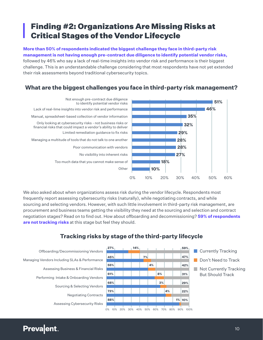### <span id="page-9-0"></span>Finding #2: Organizations Are Missing Risks at Critical Stages of the Vendor Lifecycle

**More than 50% of respondents indicated the biggest challenge they face in third-party risk management is not having enough pre-contract due diligence to identify potential vendor risks,**  followed by 46% who say a lack of real-time insights into vendor risk and performance is their biggest challenge. This is an understandable challenge considering that most respondents have not yet extended their risk assessments beyond traditional cybersecurity topics.

#### **What are the biggest challenges you face in third-party risk management?**



We also asked about when organizations assess risk during the vendor lifecycle. Respondents most frequently report assessing cybersecurity risks (naturally), while negotiating contracts, and while sourcing and selecting vendors. However, with such little involvement in third-party risk management, are procurement and business teams getting the visibility they need at the sourcing and selection and contract negotiation stages? Read on to find out. How about offboarding and decommissioning? **59% of respondents are not tracking risks** at this stage but feel they should.



#### **Tracking risks by stage of the third-party lifecycle**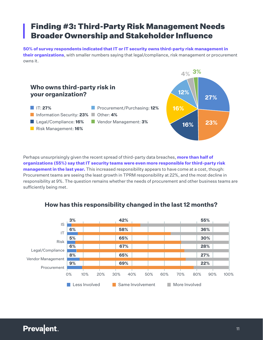### <span id="page-10-0"></span>Finding #3: Third-Party Risk Management Needs Broader Ownership and Stakeholder Influence

**50% of survey respondents indicated that IT or IT security owns third-party risk management in their organizations**, with smaller numbers saying that legal/compliance, risk management or procurement owns it.



Perhaps unsurprisingly given the recent spread of third-party data breaches, **more than half of organizations (55%) say that IT security teams were even more responsible for third-party risk management in the last year.** This increased responsibility appears to have come at a cost, though: Procurement teams are seeing the least growth in TPRM responsibility at 22%, and the most decline in responsibility at 9%. The question remains whether the needs of procurement and other business teams are sufficiently being met.



#### **How has this responsibility changed in the last 12 months?**

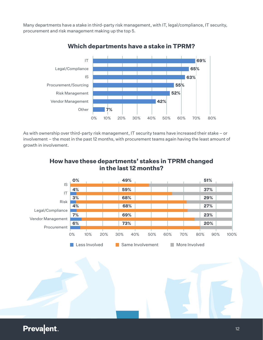Many departments have a stake in third-party risk management, with IT, legal/compliance, IT security, procurement and risk management making up the top 5.



**Which departments have a stake in TPRM?**

As with ownership over third-party risk management, IT security teams have increased their stake – or involvement – the most in the past 12 months, with procurement teams again having the least amount of growth in involvement.



#### **How have these departments' stakes in TPRM changed in the last 12 months?**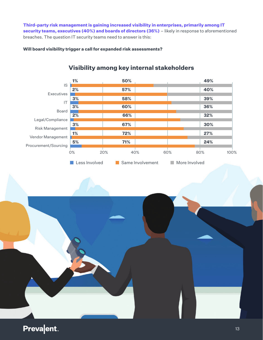**Third-party risk management is gaining increased visibility in enterprises, primarily among IT security teams, executives (40%) and boards of directors (36%)** – likely in response to aforementioned breaches. The question IT security teams need to answer is this:

**Will board visibility trigger a call for expanded risk assessments?**



#### **Visibility among key internal stakeholders**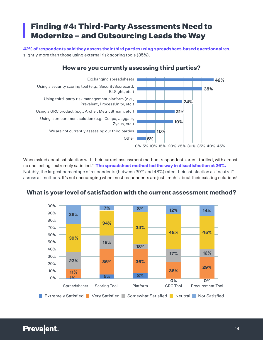### <span id="page-13-0"></span>Finding #4: Third-Party Assessments Need to Modernize – and Outsourcing Leads the Way

**42% of respondents said they assess their third parties using spreadsheet-based questionnaires**, slightly more than those using external risk scoring tools (35%).

#### **How are you currently assessing third parties?**



When asked about satisfaction with their current assessment method, respondents aren't thrilled, with almost no one feeling "extremely satisfied." **The spreadsheet method led the way in dissatisfaction at 26%.**  Notably, the largest percentage of respondents (between 39% and 48%) rated their satisfaction as "neutral" across all methods. It's not encouraging when most respondents are just "meh" about their existing solutions!



#### **What is your level of satisfaction with the current assessment method?**

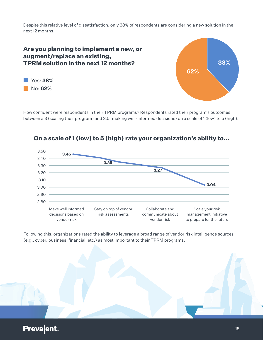Despite this relative level of dissatisfaction, only 38% of respondents are considering a new solution in the next 12 months.

#### **62% Are you planning to implement a new, or augment/replace an existing, TPRM solution in the next 12 months?** Yes: **38%** No: **62%**

How confident were respondents in their TPRM programs? Respondents rated their program's outcomes between a 3 (scaling their program) and 3.5 (making well-informed decisions) on a scale of 1 (low) to 5 (high).



#### **On a scale of 1 (low) to 5 (high) rate your organization's ability to...**

Following this, organizations rated the ability to leverage a broad range of vendor risk intelligence sources (e.g., cyber, business, financial, etc.) as most important to their TPRM programs.



#### **Prevalent**

**38%**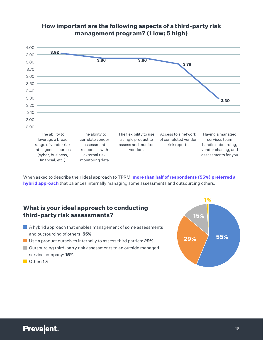

#### **How important are the following aspects of a third-party risk management program? (1 low; 5 high)**

When asked to describe their ideal approach to TPRM, **more than half of respondents (55%) preferred a hybrid approach** that balances internally managing some assessments and outsourcing others.

#### **What is your ideal approach to conducting third-party risk assessments?**

- $\blacksquare$  A hybrid approach that enables management of some assessments and outsourcing of others: **55%**
- Use a product ourselves internally to assess third parties: **29%**
- **Outsourcing third-party risk assessments to an outside managed** service company: **15%**
- Other: **1%**

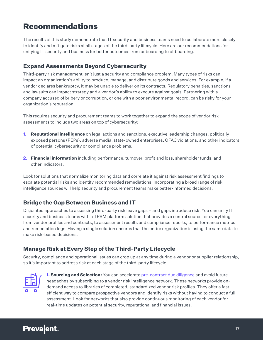### <span id="page-16-0"></span>Recommendations

The results of this study demonstrate that IT security and business teams need to collaborate more closely to identify and mitigate risks at all stages of the third-party lifecycle. Here are our recommendations for unifying IT security and business for better outcomes from onboarding to offboarding.

#### <span id="page-16-1"></span>**Expand Assessments Beyond Cybersecurity**

Third-party risk management isn't just a security and compliance problem. Many types of risks can impact an organization's ability to produce, manage, and distribute goods and services. For example, if a vendor declares bankruptcy, it may be unable to deliver on its contracts. Regulatory penalties, sanctions and lawsuits can impact strategy and a vendor's ability to execute against goals. Partnering with a company accused of bribery or corruption, or one with a poor environmental record, can be risky for your organization's reputation.

This requires security and procurement teams to work together to expand the scope of vendor risk assessments to include two areas on top of cybersecurity:

- **1. Reputational intelligence** on legal actions and sanctions, executive leadership changes, politically exposed persons (PEPs), adverse media, state-owned enterprises, OFAC violations, and other indicators of potential cybersecurity or compliance problems.
- **2. Financial information** including performance, turnover, profit and loss, shareholder funds, and other indicators.

Look for solutions that normalize monitoring data and correlate it against risk assessment findings to escalate potential risks and identify recommended remediations. Incorporating a broad range of risk intelligence sources will help security and procurement teams make better-informed decisions.

#### <span id="page-16-2"></span>**Bridge the Gap Between Business and IT**

Disjointed approaches to assessing third-party risk leave gaps – and gaps introduce risk. You can unify IT security and business teams with a TPRM platform solution that provides a central source for everything from vendor profiles and contracts, to assessment results and compliance reports, to performance metrics and remediation logs. Having a single solution ensures that the entire organization is using the same data to make risk-based decisions.

#### <span id="page-16-3"></span>**Manage Risk at Every Step of the Third-Party Lifecycle**

Security, compliance and operational issues can crop up at any time during a vendor or supplier relationship, so it's important to address risk at each stage of the third-party lifecycle.



**1. Sourcing and Selection:** You can accelerate [pre-contract due diligence](https://www.prevalent.net/use-cases/vendor-sourcing-selection/) and avoid future headaches by subscribing to a vendor risk intelligence network. These networks provide ondemand access to libraries of completed, standardized vendor risk profiles. They offer a fast, efficient way to compare prospective vendors and identify risks without having to conduct a full assessment. Look for networks that also provide continuous monitoring of each vendor for real-time updates on potential security, reputational and financial issues.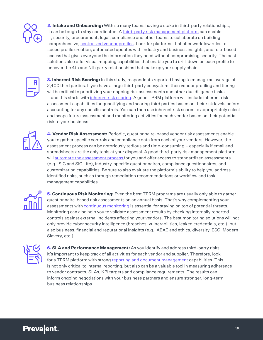

**2. Intake and Onboarding:** With so many teams having a stake in third-party relationships, it can be tough to stay coordinated. A [third-party risk management platform](https://www.prevalent.net/use-cases/third-party-risk-management/) can enable IT, security, procurement, legal, compliance and other teams to collaborate on building comprehensive, [centralized vendor](https://www.prevalent.net/use-cases/vendor-intake-onboarding/) profiles. Look for platforms that offer workflow rules to speed profile creation, automated updates with industry and business insights, and role-based access that gives everyone the information they need without compromising security. The best solutions also offer visual mapping capabilities that enable you to drill-down on each profile to uncover the 4th and Nth party relationships that make up your supply chain.



**3. Inherent Risk Scoring:** In this study, respondents reported having to manage an average of 2,400 third parties. If you have a large third-party ecosystem, then vendor profiling and tiering will be critical to prioritizing your ongoing risk assessments and other due diligence tasks – and this starts with *[inherent risk scoring](https://www.prevalent.net/use-cases/vendor-prioritization-scoring/)*. A good TPRM platform will include inherent risk assessment capabilities for quantifying and scoring third parties based on their risk levels before accounting for any specific controls. You can then use inherent risk scores to appropriately select and scope future assessment and monitoring activities for each vendor based on their potential risk to your business.



**4. Vendor Risk Assessment:** Periodic, questionnaire-based vendor risk assessments enable you to gather specific controls and compliance data from each of your vendors. However, the assessment process can be notoriously tedious and time-consuming – especially if email and spreadsheets are the only tools at your disposal. A good third-party risk management platform will [automate the assessment process](https://www.prevalent.net/products/vendor-risk-assessment/) for you and offer access to standardized assessments (e.g., SIG and SIG Lite), industry-specific questionnaires, compliance questionnaires, and customization capabilities. Be sure to also evaluate the platform's ability to help you address identified risks, such as through remediation recommendations or workflow and task management capabilities.



**5. Continuous Risk Monitoring:** Even the best TPRM programs are usually only able to gather questionnaire-based risk assessments on an annual basis. That's why complementing your assessments with [continuous monitoring](https://www.prevalent.net/products/vendor-risk-monitoring/) is essential for staying on top of potential threats. Monitoring can also help you to validate assessment results by checking internally reported controls against external incidents affecting your vendors. The best monitoring solutions will not only provide cyber security intelligence (breaches, vulnerabilities, leaked credentials, etc.), but also business, financial and reputational insights (e.g., ABAC and ethics, diversity, ESG, Modern Slavery, etc.).



**6. SLA and Performance Management:** As you identify and address third-party risks, it's important to keep track of all activities for each vendor and supplier. Therefore, look for a TPRM platform with strong [reporting and document management](https://www.prevalent.net/use-cases/vendor-reporting-management/) capabilities. This is not only critical to internal reporting, but also can be a valuable tool in measuring adherence to vendor contracts, SLAs, KPI targets and compliance requirements. The results can inform ongoing negotiations with your business partners and ensure stronger, long-term business relationships.

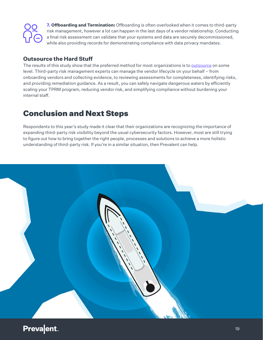

**7. Offboarding and Termination:** Offboarding is often overlooked when it comes to third-party risk management, however a lot can happen in the last days of a vendor relationship. Conducting a final risk assessment can validate that your systems and data are securely decommissioned, while also providing records for demonstrating compliance with data privacy mandates.

#### <span id="page-18-0"></span>**Outsource the Hard Stuff**

The results of this study show that the preferred method for most organizations is to [outsource](https://www.prevalent.net/services/vendor-risk-assessment-services/) on some level. Third-party risk management experts can manage the vendor lifecycle on your behalf – from onboarding vendors and collecting evidence, to reviewing assessments for completeness, identifying risks, and providing remediation guidance. As a result, you can safely navigate dangerous waters by efficiently scaling your TPRM program, reducing vendor risk, and simplifying compliance without burdening your internal staff.

### <span id="page-18-1"></span>Conclusion and Next Steps

Respondents to this year's study made it clear that their organizations are recognizing the importance of expanding third-party risk visibility beyond the usual cybersecurity factors. However, most are still trying to figure out how to bring together the right people, processes and solutions to achieve a more holistic understanding of third-party risk. If you're in a similar situation, then Prevalent can help.